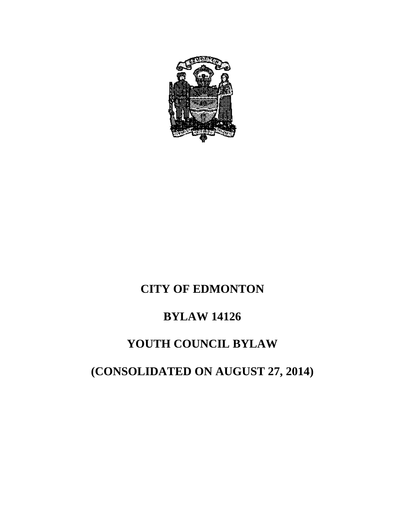

## **CITY OF EDMONTON**

## **BYLAW 14126**

## **YOUTH COUNCIL BYLAW**

# **(CONSOLIDATED ON AUGUST 27, 2014)**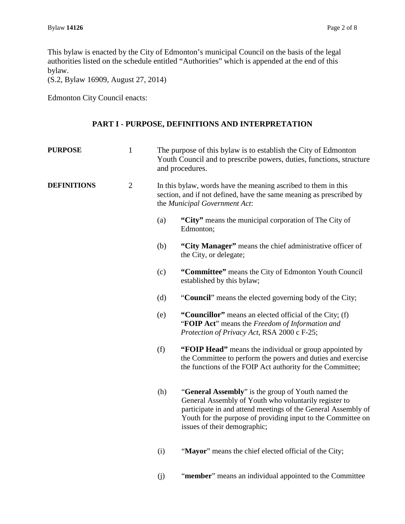This bylaw is enacted by the City of Edmonton's municipal Council on the basis of the legal authorities listed on the schedule entitled "Authorities" which is appended at the end of this bylaw.

(S.2, Bylaw 16909, August 27, 2014)

Edmonton City Council enacts:

#### **PART I - PURPOSE, DEFINITIONS AND INTERPRETATION**

| <b>PURPOSE</b>     | $\mathbf{1}$   | The purpose of this bylaw is to establish the City of Edmonton<br>Youth Council and to prescribe powers, duties, functions, structure<br>and procedures.               |                                                                                                                                                                                                                                                                              |
|--------------------|----------------|------------------------------------------------------------------------------------------------------------------------------------------------------------------------|------------------------------------------------------------------------------------------------------------------------------------------------------------------------------------------------------------------------------------------------------------------------------|
| <b>DEFINITIONS</b> | $\overline{2}$ | In this bylaw, words have the meaning ascribed to them in this<br>section, and if not defined, have the same meaning as prescribed by<br>the Municipal Government Act: |                                                                                                                                                                                                                                                                              |
|                    |                | (a)                                                                                                                                                                    | "City" means the municipal corporation of The City of<br>Edmonton;                                                                                                                                                                                                           |
|                    |                | (b)                                                                                                                                                                    | "City Manager" means the chief administrative officer of<br>the City, or delegate;                                                                                                                                                                                           |
|                    |                | (c)                                                                                                                                                                    | "Committee" means the City of Edmonton Youth Council<br>established by this bylaw;                                                                                                                                                                                           |
|                    |                | (d)                                                                                                                                                                    | "Council" means the elected governing body of the City;                                                                                                                                                                                                                      |
|                    |                | (e)                                                                                                                                                                    | "Councillor" means an elected official of the City; (f)<br>"FOIP Act" means the Freedom of Information and<br>Protection of Privacy Act, RSA 2000 c F-25;                                                                                                                    |
|                    |                | (f)                                                                                                                                                                    | "FOIP Head" means the individual or group appointed by<br>the Committee to perform the powers and duties and exercise<br>the functions of the FOIP Act authority for the Committee;                                                                                          |
|                    |                | (h)                                                                                                                                                                    | "General Assembly" is the group of Youth named the<br>General Assembly of Youth who voluntarily register to<br>participate in and attend meetings of the General Assembly of<br>Youth for the purpose of providing input to the Committee on<br>issues of their demographic; |
|                    |                | (i)                                                                                                                                                                    | "Mayor" means the chief elected official of the City;                                                                                                                                                                                                                        |

(j) "**member**" means an individual appointed to the Committee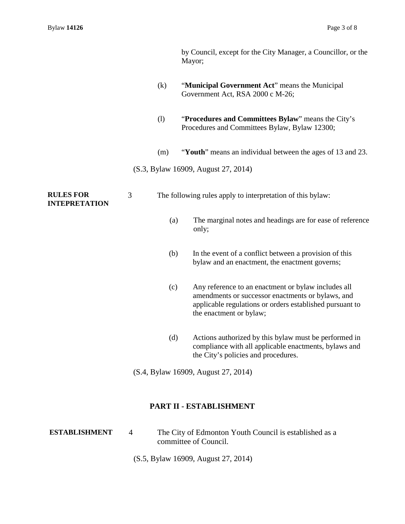- (k) "**Municipal Government Act**" means the Municipal Government Act, RSA 2000 c M-26;
- (l) "**Procedures and Committees Bylaw**" means the City's Procedures and Committees Bylaw, Bylaw 12300;
- (m) "**Youth**" means an individual between the ages of 13 and 23.
- (S.3, Bylaw 16909, August 27, 2014)

**RULES FOR INTEPRETATION** 3 The following rules apply to interpretation of this bylaw:

- (a) The marginal notes and headings are for ease of reference only;
- (b) In the event of a conflict between a provision of this bylaw and an enactment, the enactment governs;
- (c) Any reference to an enactment or bylaw includes all amendments or successor enactments or bylaws, and applicable regulations or orders established pursuant to the enactment or bylaw;
- (d) Actions authorized by this bylaw must be performed in compliance with all applicable enactments, bylaws and the City's policies and procedures.
- (S.4, Bylaw 16909, August 27, 2014)

#### **PART II - ESTABLISHMENT**

- **ESTABLISHMENT** 4 The City of Edmonton Youth Council is established as a committee of Council.
	- (S.5, Bylaw 16909, August 27, 2014)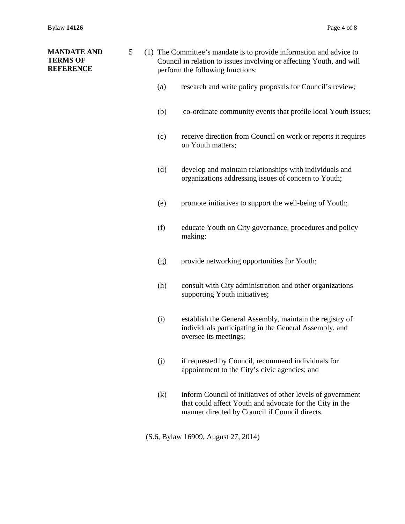| <b>MANDATE AND</b><br>5<br><b>TERMS OF</b><br><b>REFERENCE</b> |  |     | (1) The Committee's mandate is to provide information and advice to<br>Council in relation to issues involving or affecting Youth, and will<br>perform the following functions: |                                                                                                                                                                           |  |
|----------------------------------------------------------------|--|-----|---------------------------------------------------------------------------------------------------------------------------------------------------------------------------------|---------------------------------------------------------------------------------------------------------------------------------------------------------------------------|--|
|                                                                |  |     | (a)                                                                                                                                                                             | research and write policy proposals for Council's review;                                                                                                                 |  |
|                                                                |  |     | (b)                                                                                                                                                                             | co-ordinate community events that profile local Youth issues;                                                                                                             |  |
|                                                                |  |     | (c)                                                                                                                                                                             | receive direction from Council on work or reports it requires<br>on Youth matters;                                                                                        |  |
|                                                                |  |     | (d)                                                                                                                                                                             | develop and maintain relationships with individuals and<br>organizations addressing issues of concern to Youth;                                                           |  |
|                                                                |  |     | (e)                                                                                                                                                                             | promote initiatives to support the well-being of Youth;                                                                                                                   |  |
|                                                                |  | (f) | educate Youth on City governance, procedures and policy<br>making;                                                                                                              |                                                                                                                                                                           |  |
|                                                                |  | (g) | provide networking opportunities for Youth;                                                                                                                                     |                                                                                                                                                                           |  |
|                                                                |  |     | (h)                                                                                                                                                                             | consult with City administration and other organizations<br>supporting Youth initiatives;                                                                                 |  |
|                                                                |  |     | (i)                                                                                                                                                                             | establish the General Assembly, maintain the registry of<br>individuals participating in the General Assembly, and<br>oversee its meetings;                               |  |
|                                                                |  | (j) | if requested by Council, recommend individuals for<br>appointment to the City's civic agencies; and                                                                             |                                                                                                                                                                           |  |
|                                                                |  |     | (k)                                                                                                                                                                             | inform Council of initiatives of other levels of government<br>that could affect Youth and advocate for the City in the<br>manner directed by Council if Council directs. |  |
|                                                                |  |     |                                                                                                                                                                                 |                                                                                                                                                                           |  |

(S.6, Bylaw 16909, August 27, 2014)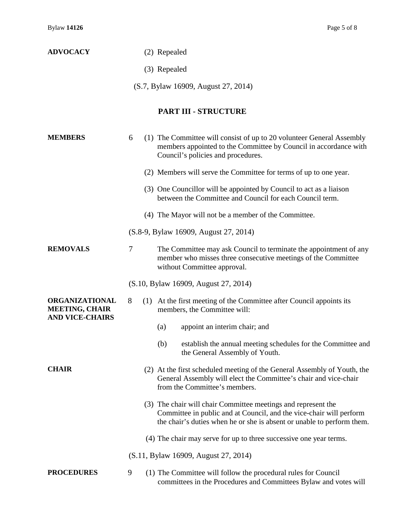## **ADVOCACY** (2) Repealed (3) Repealed (S.7, Bylaw 16909, August 27, 2014) **PART III - STRUCTURE MEMBERS** 6 (1) The Committee will consist of up to 20 volunteer General Assembly members appointed to the Committee by Council in accordance with Council's policies and procedures. (2) Members will serve the Committee for terms of up to one year. (3) One Councillor will be appointed by Council to act as a liaison between the Committee and Council for each Council term. (4) The Mayor will not be a member of the Committee. (S.8-9, Bylaw 16909, August 27, 2014) **REMOVALS** 7 The Committee may ask Council to terminate the appointment of any member who misses three consecutive meetings of the Committee without Committee approval. (S.10, Bylaw 16909, August 27, 2014) **ORGANIZATIONAL MEETING, CHAIR AND VICE-CHAIRS** 8 (1) At the first meeting of the Committee after Council appoints its members, the Committee will: (a) appoint an interim chair; and (b) establish the annual meeting schedules for the Committee and the General Assembly of Youth. **CHAIR** (2) At the first scheduled meeting of the General Assembly of Youth, the General Assembly will elect the Committee's chair and vice-chair from the Committee's members. (3) The chair will chair Committee meetings and represent the Committee in public and at Council, and the vice-chair will perform the chair's duties when he or she is absent or unable to perform them. (4) The chair may serve for up to three successive one year terms. (S.11, Bylaw 16909, August 27, 2014) **PROCEDURES** 9 (1) The Committee will follow the procedural rules for Council committees in the Procedures and Committees Bylaw and votes will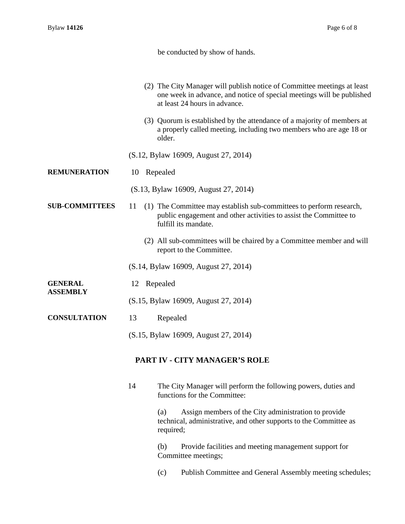be conducted by show of hands.

- (2) The City Manager will publish notice of Committee meetings at least one week in advance, and notice of special meetings will be published at least 24 hours in advance.
- (3) Quorum is established by the attendance of a majority of members at a properly called meeting, including two members who are age 18 or older.
- (S.12, Bylaw 16909, August 27, 2014)
- **REMUNERATION** 10 Repealed
	- (S.13, Bylaw 16909, August 27, 2014)
- **SUB-COMMITTEES** 11 (1) The Committee may establish sub-committees to perform research, public engagement and other activities to assist the Committee to fulfill its mandate.
	- (2) All sub-committees will be chaired by a Committee member and will report to the Committee.

(S.14, Bylaw 16909, August 27, 2014)

**GENERAL ASSEMBLY** 12 Repealed

- (S.15, Bylaw 16909, August 27, 2014)
- **CONSULTATION** 13 Repealed
	- (S.15, Bylaw 16909, August 27, 2014)

#### **PART IV - CITY MANAGER'S ROLE**

14 The City Manager will perform the following powers, duties and functions for the Committee:

> (a) Assign members of the City administration to provide technical, administrative, and other supports to the Committee as required;

(b) Provide facilities and meeting management support for Committee meetings;

(c) Publish Committee and General Assembly meeting schedules;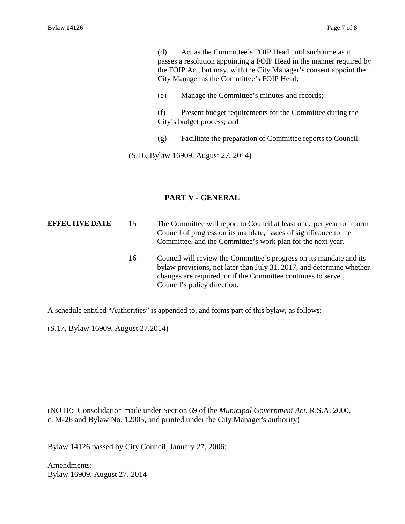(d) Act as the Committee's FOIP Head until such time as it passes a resolution appointing a FOIP Head in the manner required by the FOIP Act, but may, with the City Manager's consent appoint the City Manager as the Committee's FOIP Head;

(e) Manage the Committee's minutes and records;

(f) Present budget requirements for the Committee during the City's budget process; and

(g) Facilitate the preparation of Committee reports to Council.

(S.16, Bylaw 16909, August 27, 2014)

#### **PART V - GENERAL**

**EFFECTIVE DATE** 15 The Committee will report to Council at least once per year to inform Council of progress on its mandate, issues of significance to the Committee, and the Committee's work plan for the next year.

16 Council will review the Committee's progress on its mandate and its bylaw provisions, not later than July 31, 2017, and determine whether changes are required, or if the Committee continues to serve Council's policy direction.

A schedule entitled "Authorities" is appended to, and forms part of this bylaw, as follows:

(S.17, Bylaw 16909, August 27,2014)

(NOTE: Consolidation made under Section 69 of the *Municipal Government Act*, R.S.A. 2000, c. M-26 and Bylaw No. 12005, and printed under the City Manager's authority)

Bylaw 14126 passed by City Council, January 27, 2006:

Amendments: Bylaw 16909, August 27, 2014